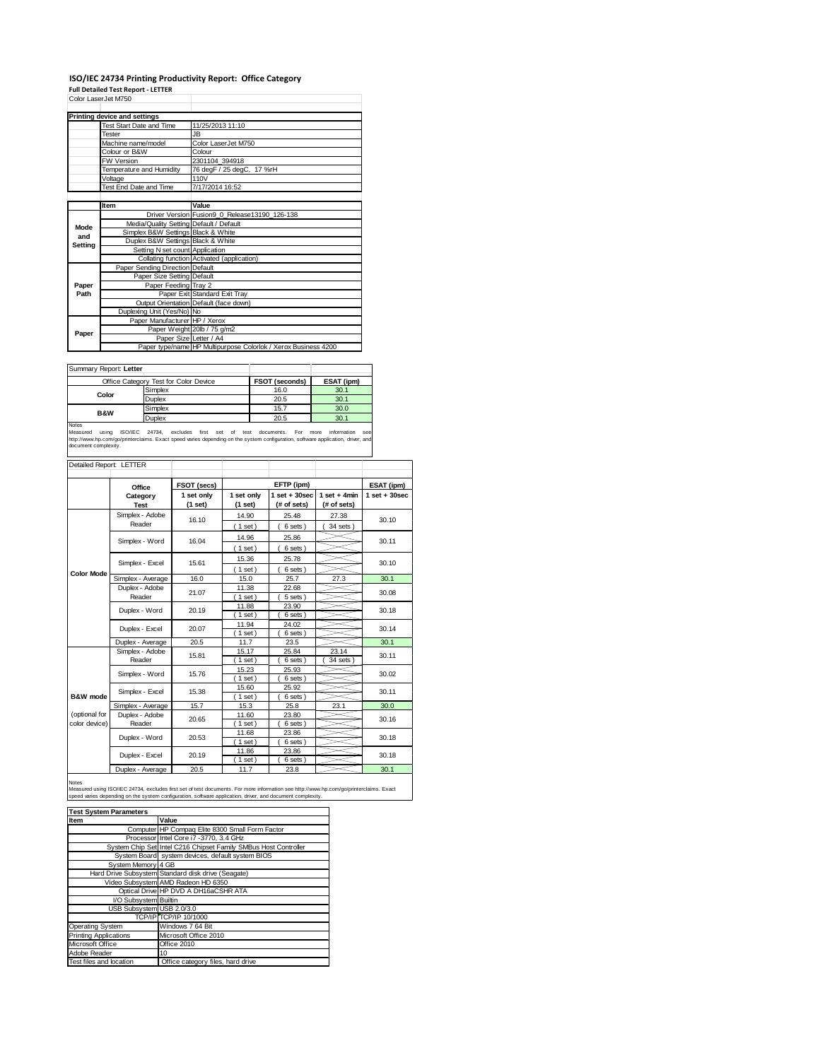## **ISO/IEC 24734 Printing Productivity Report: Office Category Full Detailed Test Report ‐ LETTER**

| Color LaserJet M750 |                                         |                                                                |  |  |  |
|---------------------|-----------------------------------------|----------------------------------------------------------------|--|--|--|
|                     | <b>Printing device and settings</b>     |                                                                |  |  |  |
|                     | <b>Test Start Date and Time</b>         | 11/25/2013 11:10                                               |  |  |  |
|                     | Tester                                  | JB.                                                            |  |  |  |
|                     | Machine name/model                      | Color LaserJet M750                                            |  |  |  |
|                     | Colour or B&W                           | Colour                                                         |  |  |  |
|                     | <b>FW Version</b>                       | 2301104 394918                                                 |  |  |  |
|                     | Temperature and Humidity                | 76 degF / 25 degC, 17 %rH                                      |  |  |  |
|                     | Voltage                                 | 110V                                                           |  |  |  |
|                     | Test End Date and Time                  | 7/17/2014 16:52                                                |  |  |  |
|                     |                                         |                                                                |  |  |  |
|                     | Item                                    | Value                                                          |  |  |  |
|                     |                                         | Driver Version Fusion9 0 Release13190 126-138                  |  |  |  |
| Mode                | Media/Quality Setting Default / Default |                                                                |  |  |  |
| and                 | Simplex B&W Settings Black & White      |                                                                |  |  |  |
| Setting             | Duplex B&W Settings Black & White       |                                                                |  |  |  |
|                     | Setting N set count Application         |                                                                |  |  |  |
|                     |                                         | Collating function Activated (application)                     |  |  |  |
|                     | Paper Sending Direction Default         |                                                                |  |  |  |
|                     | Paper Size Setting Default              |                                                                |  |  |  |
| Paper               | Paper Feeding Tray 2                    |                                                                |  |  |  |
| Path                |                                         | Paper Exit Standard Exit Tray                                  |  |  |  |
|                     |                                         | Output Orientation Default (face down)                         |  |  |  |
|                     | Duplexing Unit (Yes/No) No              |                                                                |  |  |  |
| Paper               | Paper Manufacturer HP / Xerox           |                                                                |  |  |  |
|                     |                                         | Paper Weight 20lb / 75 g/m2                                    |  |  |  |
|                     | Paper Size Letter / A4                  |                                                                |  |  |  |
|                     |                                         | Paper type/name HP Multipurpose Colorlok / Xerox Business 4200 |  |  |  |

Summary Report: **Letter**

| <b>JUILLIALY REDUIT.</b> LETTER |                                       |                       |            |
|---------------------------------|---------------------------------------|-----------------------|------------|
|                                 | Office Category Test for Color Device | <b>FSOT (seconds)</b> | ESAT (ipm) |
| Color                           | Simplex                               | 16.0                  | 30.1       |
|                                 | Duplex                                | 20.5                  | 30.1       |
| <b>B&amp;W</b>                  | Simplex                               | 15.7                  | 30.0       |
|                                 | Duplex                                | 20.5                  | 30.1       |
| Notes                           |                                       |                       |            |

Notes<br>Measured using ISO/IEC 24734, excludes first set of test documents. For more information see<br>http://www.hp.com/go/printerclaims.Exactspeed.varies.depending.on.the.system.configuration,software.application,driver,and<br>

| Detailed Report: LETTER        |                           |                       |                       |                                  |                               |                   |
|--------------------------------|---------------------------|-----------------------|-----------------------|----------------------------------|-------------------------------|-------------------|
|                                | Office                    | FSOT (secs)           |                       | EFTP (ipm)                       |                               | ESAT (ipm)        |
|                                | Category<br><b>Test</b>   | 1 set only<br>(1 set) | 1 set only<br>(1 set) | $1$ set $+30$ sec<br>(# of sets) | $1$ set + 4min<br>(# of sets) | $1$ set $+30$ sec |
|                                | Simplex - Adobe<br>Reader | 16.10                 | 14.90<br>(1 set)      | 25.48<br>6 sets)                 | 27.38<br>34 sets              | 30.10             |
|                                | Simplex - Word            | 16.04                 | 14.96<br>$1$ set)     | 25.86<br>6 sets)                 |                               | 30.11             |
|                                | Simplex - Excel           | 15.61                 | 15.36<br>(1 set)      | 25.78<br>6 sets)                 |                               | 30.10             |
| <b>Color Mode</b>              | Simplex - Average         | 16.0                  | 15.0                  | 25.7                             | 27.3                          | 30.1              |
|                                | Duplex - Adobe<br>Reader  | 21.07                 | 11.38<br>$1$ set)     | 22.68<br>5 sets)                 |                               | 30.08             |
|                                | Duplex - Word             | 20.19                 | 11.88<br>$1$ set)     | 23.90<br>6 sets)                 |                               | 30.18             |
|                                | Duplex - Excel            | 20.07                 | 11.94<br>$1$ set)     | 24.02<br>6 sets)                 |                               | 30.14             |
|                                | Duplex - Average          | 20.5                  | 11.7                  | 23.5                             |                               | 30.1              |
|                                | Simplex - Adobe<br>Reader | 15.81                 | 15.17<br>$1$ set)     | 25.84<br>6 sets)                 | 23.14<br>34 sets              | 30.11             |
|                                | Simplex - Word            | 15.76                 | 15.23<br>$1$ set)     | 25.93<br>6 sets)                 |                               | 30.02             |
| B&W mode                       | Simplex - Excel           | 15.38                 | 15.60<br>$1$ set)     | 25.92<br>6 sets)                 |                               | 30.11             |
|                                | Simplex - Average         | 15.7                  | 15.3                  | 25.8                             | 23.1                          | 30.0              |
| (optional for<br>color device) | Duplex - Adobe<br>Reader  | 20.65                 | 11.60<br>$1$ set)     | 23.80<br>$6$ sets $)$            |                               | 30.16             |
|                                | Duplex - Word             | 20.53                 | 11.68<br>$1$ set)     | 23.86<br>6 sets)                 |                               | 30.18             |
|                                | Duplex - Excel            | 20.19                 | 11.86<br>$1$ set)     | 23.86<br>6 sets)                 |                               | 30.18             |
|                                | Duplex - Average          | 20.5                  | 11.7                  | 23.8                             |                               | 30.1              |

Notes<br>Measured using ISO/IEC 24734, excludes first set of test documents. For more information see http://www.hp.com/go/printerclaims. Exact<br>speed varies depending on the system configuration, software application, driver,

| <b>Test System Parameters</b> |                                                                 |  |  |  |
|-------------------------------|-----------------------------------------------------------------|--|--|--|
| Item                          | Value                                                           |  |  |  |
|                               | Computer HP Compaq Elite 8300 Small Form Factor                 |  |  |  |
|                               | Processor Intel Core i7 -3770, 3.4 GHz                          |  |  |  |
|                               | System Chip Set Intel C216 Chipset Family SMBus Host Controller |  |  |  |
|                               | System Board system devices, default system BIOS                |  |  |  |
| System Memory 4 GB            |                                                                 |  |  |  |
|                               | Hard Drive Subsystem Standard disk drive (Seagate)              |  |  |  |
|                               | Video Subsystem AMD Radeon HD 6350                              |  |  |  |
|                               | Optical Drive HP DVD A DH16aCSHR ATA                            |  |  |  |
| I/O Subsystem Builtin         |                                                                 |  |  |  |
| USB Subsystem USB 2.0/3.0     |                                                                 |  |  |  |
|                               | TCP/IP TCP/IP 10/1000                                           |  |  |  |
| Operating System              | Windows 7 64 Bit                                                |  |  |  |
| <b>Printing Applications</b>  | Microsoft Office 2010                                           |  |  |  |
| Microsoft Office              | Office 2010                                                     |  |  |  |
| Adobe Reader                  | 10                                                              |  |  |  |
| Test files and location       | Office category files, hard drive                               |  |  |  |